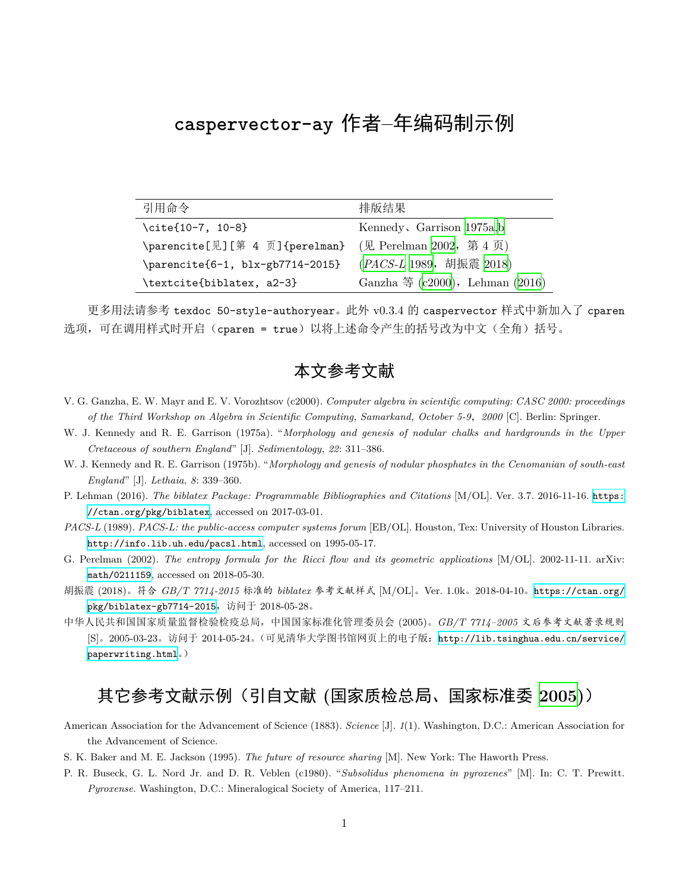## **caspervector-ay** 作者**–**年编码制示例

| 引用命令                                                    | 排版结果                                            |
|---------------------------------------------------------|-------------------------------------------------|
| $\cite{10-7, 10-8}$                                     | Kennedy, Garrison 1975a,b                       |
| \parencite[见][第 4 页]{perelman} (见 Perelman 2002, 第 4 页) |                                                 |
| $\{parente{6-1, blx-gb7714-2015\}$                      | (PACS-L 1989, 胡振震 2018)                         |
| \textcite{biblatex, a2-3}                               | Ganzha $\textcircled{4}$ (c2000), Lehman (2016) |

更多用法请参考 texdoc 50-style-authoryear。此外 v0.3.4 的 caspervector 样式中新加入了 cparen 选项,可在调用样式时开启(cparen = true)以将上述命令产生的括号改为中文(全角)括号。

## 本文参考文献

- <span id="page-0-5"></span>V. G. Ganzha, E. W. Mayr and E. V. Vorozhtsov (c2000). *Computer algebra in scientific computing: CASC 2000: proceedings of the Third Workshop on Algebra in Scientific Computing, Samarkand, October 5-9*,*2000* [C]. Berlin: Springer.
- <span id="page-0-0"></span>W. J. Kennedy and R. E. Garrison (1975a). "*Morphology and genesis of nodular chalks and hardgrounds in the Upper Cretaceous of southern England*" [J]. *Sedimentology*, *22*: 311–386.
- <span id="page-0-1"></span>W. J. Kennedy and R. E. Garrison (1975b). "*Morphology and genesis of nodular phosphates in the Cenomanian of south-east England*" [J]. *Lethaia*, *8*: 339–360.
- <span id="page-0-6"></span>P. Lehman (2016). *The biblatex Package: Programmable Bibliographies and Citations* [M/OL]. Ver. 3.7. 2016-11-16. [https:](https://ctan.org/pkg/biblatex) [//ctan.org/pkg/biblatex](https://ctan.org/pkg/biblatex), accessed on 2017-03-01.
- <span id="page-0-3"></span>*PACS-L* (1989). *PACS-L: the public-access computer systems forum* [EB/OL]. Houston, Tex: University of Houston Libraries. <http://info.lib.uh.edu/pacsl.html>, accessed on 1995-05-17.
- <span id="page-0-2"></span>G. Perelman (2002). *The entropy formula for the Ricci flow and its geometric applications* [M/OL]. 2002-11-11. arXiv: [math/0211159](https://arxiv.org/abs/math/0211159), accessed on 2018-05-30.
- <span id="page-0-4"></span>胡振震 (2018)。符合 *GB/T 7714-2015* 标准的 *biblatex* 参考文献样式 [M/OL]。Ver. 1.0k。2018-04-10。[https://ctan.org/](https://ctan.org/pkg/biblatex-gb7714-2015) [pkg/biblatex-gb7714-2015](https://ctan.org/pkg/biblatex-gb7714-2015),访问于 2018-05-28。
- <span id="page-0-7"></span>中华人民共和国国家质量监督检验检疫总局,中国国家标准化管理委员会 (2005)。*GB/T 7714–2005* 文后参考文献著录规则 [S]。2005-03-23。访问于 2014-05-24。(可见清华大学图书馆网页上的电子版:[http://lib.tsinghua.edu.cn/service/](http://lib.tsinghua.edu.cn/service/paperwriting.html) [paperwriting.html](http://lib.tsinghua.edu.cn/service/paperwriting.html)。)

## 其它参考文献示例(引自文献 **(**国家质检总局、国家标准委 **[2005](#page-0-7))**)

- American Association for the Advancement of Science (1883). *Science* [J]. *1*(1). Washington, D.C.: American Association for the Advancement of Science.
- S. K. Baker and M. E. Jackson (1995). *The future of resource sharing* [M]. New York: The Haworth Press.
- P. R. Buseck, G. L. Nord Jr. and D. R. Veblen (c1980). "*Subsolidus phenomena in pyroxenes*" [M]. In: C. T. Prewitt. *Pyroxense*. Washington, D.C.: Mineralogical Society of America, 117–211.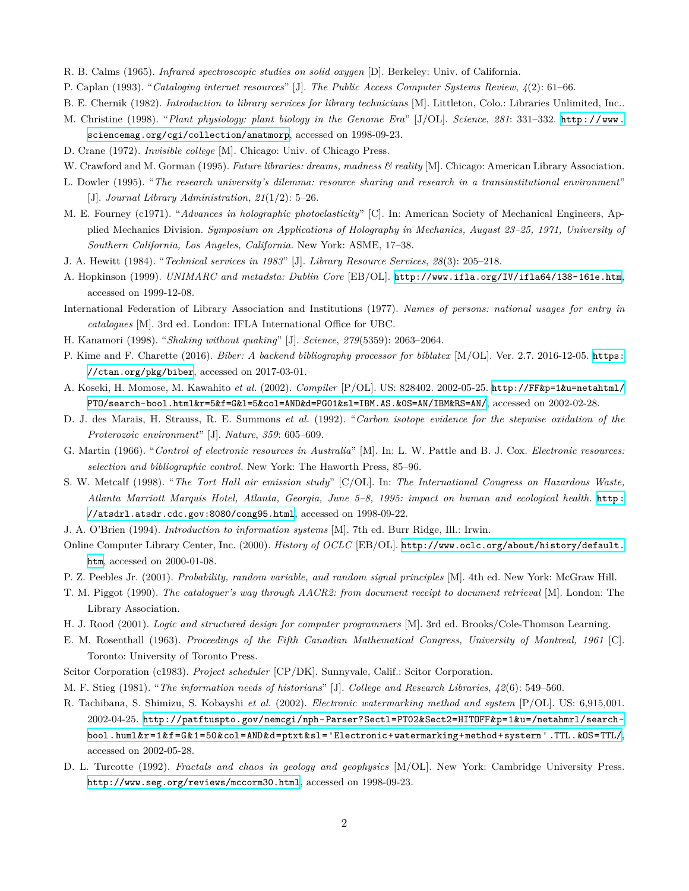- R. B. Calms (1965). *Infrared spectroscopic studies on solid oxygen* [D]. Berkeley: Univ. of California.
- P. Caplan (1993). "*Cataloging internet resources*" [J]. *The Public Access Computer Systems Review*, *4*(2): 61–66.
- B. E. Chernik (1982). *Introduction to library services for library technicians* [M]. Littleton, Colo.: Libraries Unlimited, Inc..
- M. Christine (1998). "*Plant physiology: plant biology in the Genome Era*" [J/OL]. *Science*, *281*: 331–332. [http://www.](http://www.sciencemag.org/cgi/collection/anatmorp) [sciencemag.org/cgi/collection/anatmorp](http://www.sciencemag.org/cgi/collection/anatmorp), accessed on 1998-09-23.
- D. Crane (1972). *Invisible college* [M]. Chicago: Univ. of Chicago Press.
- W. Crawford and M. Gorman (1995). *Future libraries: dreams, madness & reality* [M]. Chicago: American Library Association.
- L. Dowler (1995). "*The research university's dilemma: resource sharing and research in a transinstitutional environment*" [J]. *Journal Library Administration*, *21*(1/2): 5–26.
- M. E. Fourney (c1971). "*Advances in holographic photoelasticity*" [C]. In: American Society of Mechanical Engineers, Applied Mechanics Division. *Symposium on Applications of Holography in Mechanics, August 23–25, 1971, University of Southern California, Los Angeles, California*. New York: ASME, 17–38.
- J. A. Hewitt (1984). "*Technical services in 1983*" [J]. *Library Resource Services*, *28*(3): 205–218.
- A. Hopkinson (1999). *UNIMARC and metadsta: Dublin Core* [EB/OL]. <http://www.ifla.org/IV/ifla64/138-161e.htm>, accessed on 1999-12-08.
- International Federation of Library Association and Institutions (1977). *Names of persons: national usages for entry in catalogues* [M]. 3rd ed. London: IFLA International Office for UBC.
- H. Kanamori (1998). "*Shaking without quaking*" [J]. *Science*, *279*(5359): 2063–2064.
- P. Kime and F. Charette (2016). *Biber: A backend bibliography processor for biblatex* [M/OL]. Ver. 2.7. 2016-12-05. [https:](https://ctan.org/pkg/biber) [//ctan.org/pkg/biber](https://ctan.org/pkg/biber), accessed on 2017-03-01.
- A. Koseki, H. Momose, M. Kawahito *et al.* (2002). *Compiler* [P/OL]. US: 828402. 2002-05-25. [http://FF&p=1&u=netahtml/](http://FF&p=1&u=netahtml/PTO/search-bool.html&r=5&f=G&l=5&col=AND&d=PG01&sl=IBM.AS.&0S=AN/IBM&RS=AN/) [PTO/search-bool.html&r=5&f=G&l=5&col=AND&d=PG01&sl=IBM.AS.&0S=AN/IBM&RS=AN/](http://FF&p=1&u=netahtml/PTO/search-bool.html&r=5&f=G&l=5&col=AND&d=PG01&sl=IBM.AS.&0S=AN/IBM&RS=AN/), accessed on 2002-02-28.
- D. J. des Marais, H. Strauss, R. E. Summons *et al.* (1992). "*Carbon isotope evidence for the stepwise oxidation of the Proterozoic environment*" [J]. *Nature*, *359*: 605–609.
- G. Martin (1966). "*Control of electronic resources in Australia*" [M]. In: L. W. Pattle and B. J. Cox. *Electronic resources: selection and bibliographic control*. New York: The Haworth Press, 85–96.
- S. W. Metcalf (1998). "*The Tort Hall air emission study*" [C/OL]. In: *The International Congress on Hazardous Waste, Atlanta Marriott Marquis Hotel, Atlanta, Georgia, June 5–8, 1995: impact on human and ecological health*. [http:](http://atsdrl.atsdr.cdc.gov:8080/cong95.html) [//atsdrl.atsdr.cdc.gov:8080/cong95.html](http://atsdrl.atsdr.cdc.gov:8080/cong95.html), accessed on 1998-09-22.
- J. A. O'Brien (1994). *Introduction to information systems* [M]. 7th ed. Burr Ridge, Ill.: Irwin.
- Online Computer Library Center, Inc. (2000). *History of OCLC* [EB/OL]. [http://www.oclc.org/about/history/default.](http://www.oclc.org/about/history/default.htm) [htm](http://www.oclc.org/about/history/default.htm), accessed on 2000-01-08.
- P. Z. Peebles Jr. (2001). *Probability, random variable, and random signal principles* [M]. 4th ed. New York: McGraw Hill.
- T. M. Piggot (1990). *The cataloguer's way through AACR2: from document receipt to document retrieval* [M]. London: The Library Association.
- H. J. Rood (2001). *Logic and structured design for computer programmers* [M]. 3rd ed. Brooks/Cole-Thomson Learning.
- E. M. Rosenthall (1963). *Proceedings of the Fifth Canadian Mathematical Congress, University of Montreal, 1961* [C]. Toronto: University of Toronto Press.
- Scitor Corporation (c1983). *Project scheduler* [CP/DK]. Sunnyvale, Calif.: Scitor Corporation.
- M. F. Stieg (1981). "*The information needs of historians*" [J]. *College and Research Libraries*, *42*(6): 549–560.
- R. Tachibana, S. Shimizu, S. Kobayshi *et al.* (2002). *Electronic watermarking method and system* [P/OL]. US: 6,915,001. 2002-04-25. [http://patftuspto.gov/nemcgi/nph-Parser?Sectl=PT02&Sect2=HITOFF&p=1&u=/netahmrl/search](http://patftuspto.gov/nemcgi/nph-Parser?Sectl=PT02&Sect2=HITOFF&p=1&u=/netahmrl/search-bool.huml&r=1&f=G&1=50&col=AND&d=ptxt&sl=)[bool.huml&r=1&f=G&1=50&col=AND&d=ptxt&sl='Electronic+watermarking+method+systern' .TTL.&OS=TTL/](http://patftuspto.gov/nemcgi/nph-Parser?Sectl=PT02&Sect2=HITOFF&p=1&u=/netahmrl/search-bool.huml&r=1&f=G&1=50&col=AND&d=ptxt&sl=), accessed on 2002-05-28.
- D. L. Turcotte (1992). *Fractals and chaos in geology and geophysics* [M/OL]. New York: Cambridge University Press. <http://www.seg.org/reviews/mccorm30.html>, accessed on 1998-09-23.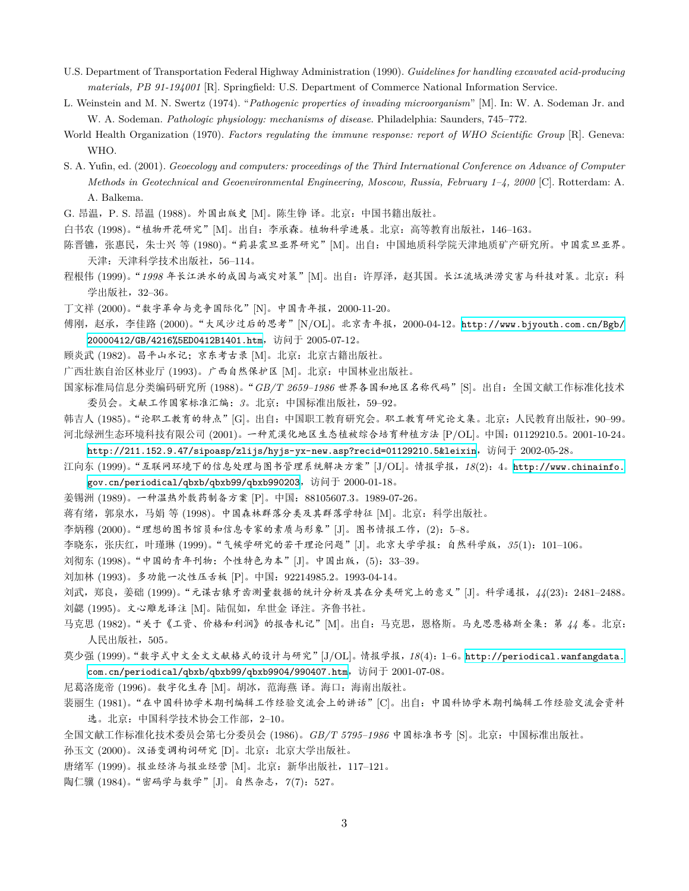U.S. Department of Transportation Federal Highway Administration (1990). *Guidelines for handling excavated acid-producing materials, PB 91-194001* [R]. Springfield: U.S. Department of Commerce National Information Service.

L. Weinstein and M. N. Swertz (1974). "*Pathogenic properties of invading microorganism*" [M]. In: W. A. Sodeman Jr. and W. A. Sodeman. *Pathologic physiology: mechanisms of disease*. Philadelphia: Saunders, 745–772.

World Health Organization (1970). *Factors regulating the immune response: report of WHO Scientific Group* [R]. Geneva: WHO.

S. A. Yufin, ed. (2001). *Geoecology and computers: proceedings of the Third International Conference on Advance of Computer Methods in Geotechnical and Geoenvironmental Engineering, Moscow, Russia, February 1–4, 2000* [C]. Rotterdam: A. A. Balkema.

G. 昂温,P. S. 昂温 (1988)。外国出版史 [M]。陈生铮 译。北京:中国书籍出版社。

白书农 (1998)。"植物开花研究"[M]。出自:李承森。植物科学进展。北京:高等教育出版社,146–163。

陈晋镳, 张惠民, 朱士兴 等 (1980)。"蓟县震旦亚界研究" [M]。出自: 中国地质科学院天津地质矿产研究所。中国震旦亚界。 天津:天津科学技术出版社,56–114。

程根伟 (1999)。"*1998* 年长江洪水的成因与减灾对策"[M]。出自:许厚泽,赵其国。长江流域洪涝灾害与科技对策。北京:科 学出版社,32–36。

丁文祥 (2000)。"数字革命与竞争国际化"[N]。中国青年报,2000-11-20。

傅刚,赵承,李佳路 (2000)。"大风沙过后的思考"[N/OL]。北京青年报,2000-04-12。[http://www.bjyouth.com.cn/Bgb/](http://www.bjyouth.com.cn/Bgb/20000412/GB/4216%5ED0412B1401.htm) [20000412/GB/4216%5ED0412B1401.htm](http://www.bjyouth.com.cn/Bgb/20000412/GB/4216%5ED0412B1401.htm),访问于 2005-07-12。

顾炎武 (1982)。昌平山水记;京东考古录 [M]。北京:北京古籍出版社。

广西壮族自治区林业厅 (1993)。广西自然保护区 [M]。北京:中国林业出版社。

国家标准局信息分类编码研究所 (1988)。"*GB/T 2659–1986* 世界各国和地区名称代码"[S]。出自:全国文献工作标准化技术 委员会。文献工作国家标准汇编:*3*。北京:中国标准出版社,59–92。

韩吉人 (1985)。"论职工教育的特点"[G]。出自:中国职工教育研究会。职工教育研究论文集。北京:人民教育出版社,90–99。 河北绿洲生态环境科技有限公司 (2001)。一种荒漠化地区生态植被综合培育种植方法 [P/OL]。中国:01129210.5。2001-10-24。

<http://211.152.9.47/sipoasp/zlijs/hyjs-yx-new.asp?recid=01129210.5&leixin>,访问于 2002-05-28。

江向东 (1999)。"互联网环境下的信息处理与图书管理系统解决方案"[J/OL]。情报学报,*18*(2):4。[http://www.chinainfo.](http://www.chinainfo.gov.cn/periodical/qbxb/qbxb99/qbxb990203) [gov.cn/periodical/qbxb/qbxb99/qbxb990203](http://www.chinainfo.gov.cn/periodical/qbxb/qbxb99/qbxb990203),访问于 2000-01-18。

姜锡洲 (1989)。一种温热外敷药制备方案 [P]。中国:88105607.3。1989-07-26。

蒋有绪,郭泉水,马娟 等 (1998)。中国森林群落分类及其群落学特征 [M]。北京:科学出版社。

李炳穆 (2000)。"理想的图书馆员和信息专家的素质与形象"[J]。图书情报工作,(2):5–8。

李晓东,张庆红,叶瑾琳 (1999)。"气候学研究的若干理论问题"[J]。北京大学学报:自然科学版,*35*(1):101–106。

刘彻东 (1998)。"中国的青年刊物: 个性特色为本"[J]。中国出版, (5): 33-39。

刘加林 (1993)。多功能一次性压舌板 [P]。中国:92214985.2。1993-04-14。

刘武,郑良,姜础 (1999)。"元谋古猿牙齿测量数据的统计分析及其在分类研究上的意义"[J]。科学通报,*44*(23):2481–2488。 刘勰 (1995)。文心雕龙译注 [M]。陆侃如,牟世金 译注。齐鲁书社。

马克思 (1982)。"关于《工资、价格和利润》的报告札记"[M]。出自:马克思,恩格斯。马克思恩格斯全集: 第 44 卷。北京: 人民出版社,505。

莫少强 (1999)。"数字式中文全文文献格式的设计与研究"[J/OL]。情报学报,*18*(4):1–6。[http://periodical.wanfangdata.](http://periodical.wanfangdata.com.cn/periodical/qbxb/qbxb99/qbxb9904/990407.htm) [com.cn/periodical/qbxb/qbxb99/qbxb9904/990407.htm](http://periodical.wanfangdata.com.cn/periodical/qbxb/qbxb99/qbxb9904/990407.htm),访问于 2001-07-08。

尼葛洛庞帝 (1996)。数字化生存 [M]。胡冰,范海燕 译。海口:海南出版社。

裴丽生 (1981)。"在中国科协学术期刊编辑工作经验交流会上的讲话"[C]。出自:中国科协学术期刊编辑工作经验交流会资料 选。北京:中国科学技术协会工作部,2–10。

全国文献工作标准化技术委员会第七分委员会 (1986)。*GB/T 5795–1986* 中国标准书号 [S]。北京:中国标准出版社。

孙玉文 (2000)。汉语变调构词研究 [D]。北京:北京大学出版社。

唐绪军 (1999)。报业经济与报业经营 [M]。北京:新华出版社,117–121。

陶仁骥 (1984)。"密码学与数学"[J]。自然杂志,*7*(7):527。